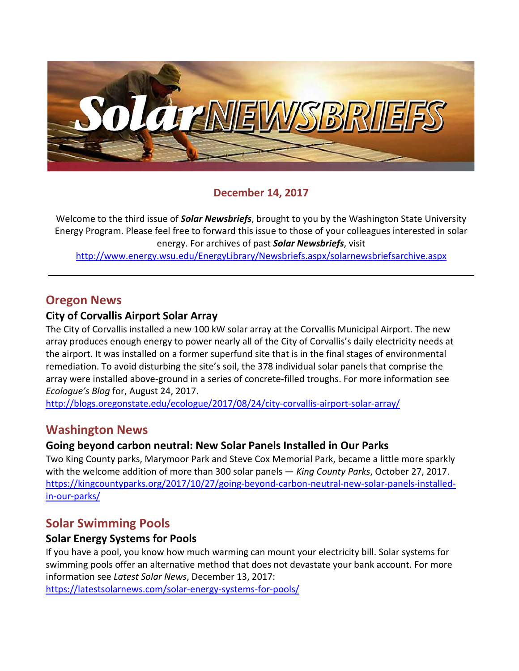

### **December 14, 2017**

Welcome to the third issue of *Solar Newsbriefs*, brought to you by the Washington State University Energy Program. Please feel free to forward this issue to those of your colleagues interested in solar energy. For archives of past *Solar Newsbriefs*, visit

<http://www.energy.wsu.edu/EnergyLibrary/Newsbriefs.aspx/solarnewsbriefsarchive.aspx>

## **Oregon News**

### **City of Corvallis Airport Solar Array**

The City of Corvallis installed a new 100 kW solar array at the Corvallis Municipal Airport. The new array produces enough energy to power nearly all of the City of Corvallis's daily electricity needs at the airport. It was installed on a former superfund site that is in the final stages of environmental remediation. To avoid disturbing the site's soil, the 378 individual solar panels that comprise the array were installed above-ground in a series of concrete-filled troughs. For more information see *Ecologue's Blog* for, August 24, 2017.

<http://blogs.oregonstate.edu/ecologue/2017/08/24/city-corvallis-airport-solar-array/>

## **Washington News**

#### **Going beyond carbon neutral: New Solar Panels Installed in Our Parks**

Two King County parks, Marymoor Park and Steve Cox Memorial Park, became a little more sparkly with the welcome addition of more than 300 solar panels — *King County Parks*, October 27, 2017. [https://kingcountyparks.org/2017/10/27/going-beyond-carbon-neutral-new-solar-panels-installed](https://kingcountyparks.org/2017/10/27/going-beyond-carbon-neutral-new-solar-panels-installed-in-our-parks/)[in-our-parks/](https://kingcountyparks.org/2017/10/27/going-beyond-carbon-neutral-new-solar-panels-installed-in-our-parks/)

## **Solar Swimming Pools**

#### **Solar Energy Systems for Pools**

If you have a pool, you know how much warming can mount your electricity bill. Solar systems for swimming pools offer an alternative method that does not devastate your bank account. For more information see *Latest Solar News*, December 13, 2017:

<https://latestsolarnews.com/solar-energy-systems-for-pools/>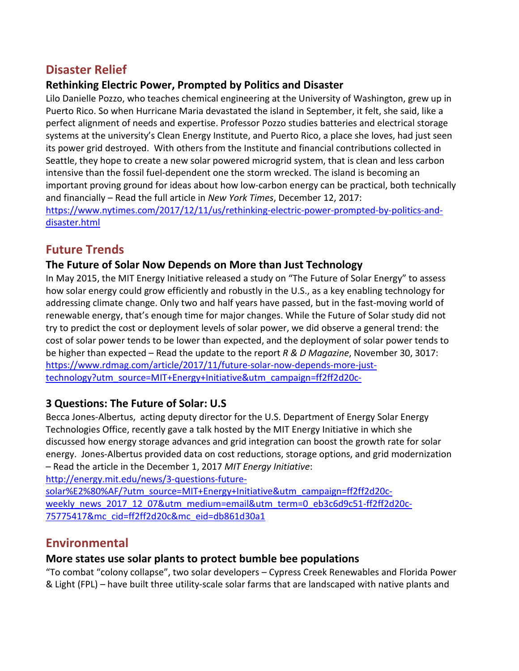# **Disaster Relief**

## **Rethinking Electric Power, Prompted by Politics and Disaster**

Lilo Danielle Pozzo, who teaches chemical engineering at the University of Washington, grew up in Puerto Rico. So when [Hurricane Maria](https://www.fema.gov/hurricane-maria) devastated the island in September, it felt, she said, like a perfect alignment of needs and expertise. Professor Pozzo studies batteries and electrical storage systems at the university's [Clean Energy Institute,](http://www.cei.washington.edu/) and Puerto Rico, a place she loves, had just seen its power grid destroyed. With others from the Institute and financial contributions collected in Seattle, they hope to create a new solar powered microgrid system, that is clean and less carbon intensive than the fossil fuel-dependent one the storm wrecked. The island is becoming an important proving ground for ideas about how low-carbon energy can be practical, both technically and financially – Read the full article in *New York Times*, December 12, 2017: [https://www.nytimes.com/2017/12/11/us/rethinking-electric-power-prompted-by-politics-and](https://www.nytimes.com/2017/12/11/us/rethinking-electric-power-prompted-by-politics-and-disaster.html)[disaster.html](https://www.nytimes.com/2017/12/11/us/rethinking-electric-power-prompted-by-politics-and-disaster.html)

## **Future Trends**

### **The Future of Solar Now Depends on More than Just Technology**

In May 2015, the [MIT Energy Initiative](http://energy.mit.edu/) released a study on ["The Future of Solar Energy"](http://energy.mit.edu/research/future-solar-energy/) to assess how solar energy could grow efficiently and robustly in the U.S., as a key enabling technology for addressing climate change. Only two and half years have passed, but in the fast-moving world of renewable energy, that's enough time for major changes. While the Future of Solar study did not try to predict the cost or deployment levels of solar power, we did observe a general trend: the cost of solar power tends to be lower than expected, and the deployment of solar power tends to be higher than expected – Read the update to the report *R & D Magazine*, November 30, 3017: [https://www.rdmag.com/article/2017/11/future-solar-now-depends-more-just](https://www.rdmag.com/article/2017/11/future-solar-now-depends-more-just-technology?utm_source=MIT+Energy+Initiative&utm_campaign=ff2ff2d20c-)[technology?utm\\_source=MIT+Energy+Initiative&utm\\_campaign=ff2ff2d20c-](https://www.rdmag.com/article/2017/11/future-solar-now-depends-more-just-technology?utm_source=MIT+Energy+Initiative&utm_campaign=ff2ff2d20c-)

### **3 Questions: The Future of Solar: U.S**

Becca Jones-Albertus,  acting deputy director for the U.S. Department of Energy Solar Energy Technologies Office, recently gave a talk hosted by the MIT Energy Initiative in which she discussed how energy storage advances and grid integration can boost the growth rate for solar energy.  Jones-Albertus provided data on cost reductions, storage options, and grid modernization – Read the article in the December 1, 2017 *MIT Energy Initiative*:

[http://energy.mit.edu/news/3-questions-future](http://energy.mit.edu/news/3-questions-future-solar%E2%80%AF/?utm_source=MIT+Energy+Initiative&utm_campaign=ff2ff2d20c-weekly_news_2017_12_07&utm_medium=email&utm_term=0_eb3c6d9c51-ff2ff2d20c-75775417&mc_cid=ff2ff2d20c&mc_eid=db861d30a1)[solar%E2%80%AF/?utm\\_source=MIT+Energy+Initiative&utm\\_campaign=ff2ff2d20c](http://energy.mit.edu/news/3-questions-future-solar%E2%80%AF/?utm_source=MIT+Energy+Initiative&utm_campaign=ff2ff2d20c-weekly_news_2017_12_07&utm_medium=email&utm_term=0_eb3c6d9c51-ff2ff2d20c-75775417&mc_cid=ff2ff2d20c&mc_eid=db861d30a1)[weekly\\_news\\_2017\\_12\\_07&utm\\_medium=email&utm\\_term=0\\_eb3c6d9c51-ff2ff2d20c-](http://energy.mit.edu/news/3-questions-future-solar%E2%80%AF/?utm_source=MIT+Energy+Initiative&utm_campaign=ff2ff2d20c-weekly_news_2017_12_07&utm_medium=email&utm_term=0_eb3c6d9c51-ff2ff2d20c-75775417&mc_cid=ff2ff2d20c&mc_eid=db861d30a1)[75775417&mc\\_cid=ff2ff2d20c&mc\\_eid=db861d30a1](http://energy.mit.edu/news/3-questions-future-solar%E2%80%AF/?utm_source=MIT+Energy+Initiative&utm_campaign=ff2ff2d20c-weekly_news_2017_12_07&utm_medium=email&utm_term=0_eb3c6d9c51-ff2ff2d20c-75775417&mc_cid=ff2ff2d20c&mc_eid=db861d30a1)

## **Environmental**

### **More states use solar plants to protect bumble bee populations**

"To combat "colony collapse", two solar developers – Cypress Creek Renewables and Florida Power & Light (FPL) – have built three utility-scale solar farms that are landscaped with native plants and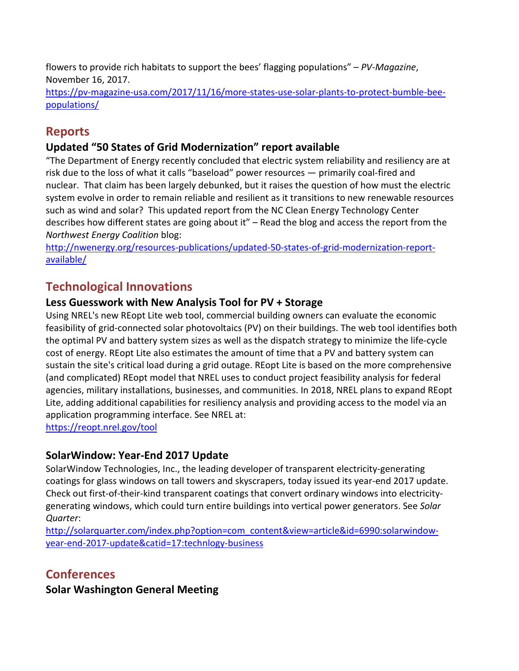flowers to provide rich habitats to support the bees' flagging populations" – *PV-Magazine*, November 16, 2017.

[https://pv-magazine-usa.com/2017/11/16/more-states-use-solar-plants-to-protect-bumble-bee](https://pv-magazine-usa.com/2017/11/16/more-states-use-solar-plants-to-protect-bumble-bee-populations/)[populations/](https://pv-magazine-usa.com/2017/11/16/more-states-use-solar-plants-to-protect-bumble-bee-populations/)

## **Reports**

## **[Updated "50 States of Grid Modernization" report available](http://nwenergy.org/resources-publications/updated-50-states-of-grid-modernization-report-available/)**

"The Department of Energy recently concluded that electric system reliability and resiliency are at risk due to the loss of what it calls "baseload" power resources — primarily coal-fired and nuclear. That claim has been largely debunked, but it raises the question of how must the electric system evolve in order to remain reliable and resilient as it transitions to new renewable resources such as wind and solar? This updated report from the [NC Clean Energy Technology Center](https://nccleantech.ncsu.edu/) describes how different states are going about it" – Read the blog and access the report from the *Northwest Energy Coalition* blog:

[http://nwenergy.org/resources-publications/updated-50-states-of-grid-modernization-report](http://nwenergy.org/resources-publications/updated-50-states-of-grid-modernization-report-available/)[available/](http://nwenergy.org/resources-publications/updated-50-states-of-grid-modernization-report-available/)

# **Technological Innovations**

### **Less Guesswork with New Analysis Tool for PV + Storage**

Using NREL's new [REopt Lite web tool,](https://reopt.nrel.gov/tool) commercial building owners can evaluate the economic feasibility of grid-connected solar photovoltaics (PV) on their buildings. The web tool identifies both the optimal PV and battery system sizes as well as the dispatch strategy to minimize the life-cycle cost of energy. REopt Lite also estimates the amount of time that a PV and battery system can sustain the site's critical load during a grid outage. REopt Lite is based on the more comprehensive (and complicated) REopt model that NREL uses to conduct project feasibility analysis for federal agencies, military installations, businesses, and communities. In 2018, NREL plans to expand REopt Lite, adding additional capabilities for resiliency analysis and providing access to the model via an application programming interface. See NREL at:

<https://reopt.nrel.gov/tool>

### **SolarWindow: Year-End 2017 Update**

SolarWindow Technologies, Inc., the leading developer of transparent electricity-generating coatings for glass windows on tall towers and skyscrapers, today issued its year-end 2017 update. Check out first-of-their-kind transparent coatings that convert ordinary windows into electricitygenerating windows, which could turn entire buildings into vertical power generators. See *Solar Quarter*:

[http://solarquarter.com/index.php?option=com\\_content&view=article&id=6990:solarwindow](http://solarquarter.com/index.php?option=com_content&view=article&id=6990:solarwindow-year-end-2017-update&catid=17:technlogy-business)[year-end-2017-update&catid=17:technlogy-business](http://solarquarter.com/index.php?option=com_content&view=article&id=6990:solarwindow-year-end-2017-update&catid=17:technlogy-business)

# **Conferences**

**Solar Washington General Meeting**